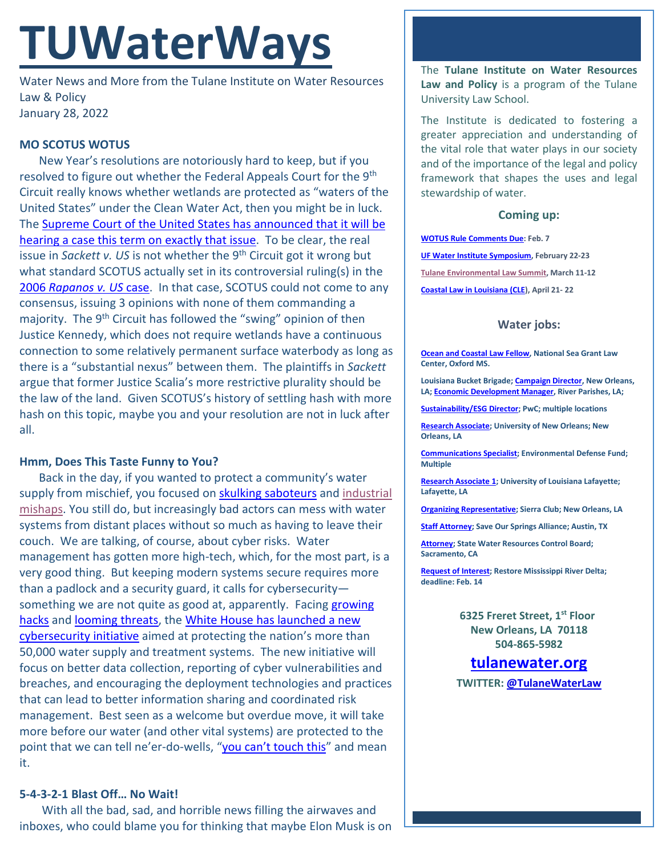# **TUWaterWays**

Water News and More from the Tulane Institute on Water Resources Law & Policy January 28, 2022

# **MO SCOTUS WOTUS**

New Year's resolutions are notoriously hard to keep, but if you resolved to figure out whether the Federal Appeals Court for the 9<sup>th</sup> Circuit really knows whether wetlands are protected as "waters of the United States" under the Clean Water Act, then you might be in luck. The [Supreme Court of the United States has announced that it will be](https://www.supremecourt.gov/orders/courtorders/012422zor_m6io.pdf)  [hearing a case this term on exactly that issue.](https://www.supremecourt.gov/orders/courtorders/012422zor_m6io.pdf) To be clear, the real issue in *Sackett v. US* is not whether the 9th Circuit got it wrong but what standard SCOTUS actually set in its controversial ruling(s) in the 2006 *[Rapanos v.](https://en.wikipedia.org/wiki/Rapanos_v._United_States) US* case. In that case, SCOTUS could not come to any consensus, issuing 3 opinions with none of them commanding a majority. The 9<sup>th</sup> Circuit has followed the "swing" opinion of then Justice Kennedy, which does not require wetlands have a continuous connection to some relatively permanent surface waterbody as long as there is a "substantial nexus" between them. The plaintiffs in *Sackett*  argue that former Justice Scalia's more restrictive plurality should be the law of the land. Given SCOTUS's history of settling hash with more hash on this topic, maybe you and your resolution are not in luck after all.

# **Hmm, Does This Taste Funny to You?**

Back in the day, if you wanted to protect a community's water supply from mischief, you focused o[n skulking saboteurs](https://giphy.com/gifs/rocky-and-bullwinkle-when-in-doubt-blow-it-up-gif-oAoh3hxLwC6Os) and industrial [mishaps.](https://www.youtube.com/watch?v=BGX4nMrnxg0) You still do, but increasingly bad actors can mess with water systems from distant places without so much as having to leave their couch. We are talking, of course, about cyber risks. Water management has gotten more high-tech, which, for the most part, is a very good thing. But keeping modern systems secure requires more than a padlock and a security guard, it calls for cybersecurity something we are not quite as good at, apparently. Facing growing [hacks](https://www.securityweek.com/industry-reactions-us-water-plant-hack-feedback-friday) and [looming threats,](https://www.cnn.com/2022/01/24/politics/russia-cyberattack-warning-homeland-security/index.html) the [White House has launched a new](https://www.whitehouse.gov/briefing-room/statements-releases/2022/01/27/fact-sheet-biden-harris-administration-expands-public-private-cybersecurity-partnership-to-water-sector/)  [cybersecurity initiative](https://www.whitehouse.gov/briefing-room/statements-releases/2022/01/27/fact-sheet-biden-harris-administration-expands-public-private-cybersecurity-partnership-to-water-sector/) aimed at protecting the nation's more than 50,000 water supply and treatment systems. The new initiative will focus on better data collection, reporting of cyber vulnerabilities and breaches, and encouraging the deployment technologies and practices that can lead to better information sharing and coordinated risk management. Best seen as a welcome but overdue move, it will take more before our water (and other vital systems) are protected to the point that we can tell ne'er-do-wells, ["you can't touch this"](https://www.youtube.com/watch?v=otCpCn0l4Wo) and mean it.

# **5-4-3-2-1 Blast Off… No Wait!**

With all the bad, sad, and horrible news filling the airwaves and inboxes, who could blame you for thinking that maybe Elon Musk is on The **Tulane Institute on Water Resources Law and Policy** is a program of the Tulane University Law School.

The Institute is dedicated to fostering a greater appreciation and understanding of the vital role that water plays in our society and of the importance of the legal and policy framework that shapes the uses and legal stewardship of water.

#### **Coming up:**

**[WOTUS Rule Comments Due:](https://www.regulations.gov/commenton/EPA-HQ-OW-2021-0602-0001) Feb. 7 [UF Water Institute Symposium,](https://conference.ifas.ufl.edu/waterinstitute/) February 22-23 [Tulane Environmental Law Summit,](https://tulaneenvironmentallawsummit.com/) March 11-12 [Coastal Law in Louisiana \(CLE\)](https://www.theseminargroup.net/seminardetl.aspx?id=22.shrNO), April 21- 22**

#### **Water jobs:**

**[Ocean and Coastal Law Fellow,](https://careers.olemiss.edu/job/University-Law-Fellow%2C-Temporary-MS-38677/834883200/) National Sea Grant Law Center, Oxford MS.**

**Louisiana Bucket Brigade[; Campaign Director,](https://labucketbrigade.org/now-hiring-campaign-director/) New Orleans, LA[; Economic Development Manager,](https://labucketbrigade.org/now-hiring-economic-development-manager/) River Parishes, LA;** 

**[Sustainability/ESG Director;](https://jobs.us.pwc.com/job/-/-/932/8531402784?utm_source=linkedin.com&utm_campaign=core_media&utm_medium=social_media&utm_content=job_posting&ss=paid&dclid=CIHN-by5yvMCFUvrwAodK4kFqw) PwC; multiple locations**

**[Research Associate;](https://ulsuno.wd1.myworkdayjobs.com/en-US/UniversityOfNewOrleans/job/New-Orleans-La/Research-Associate-1_R-000365) University of New Orleans; New Orleans, LA**

**[Communications Specialist;](https://www.edf.org/jobs/communications-specialist-coastal-resilience) Environmental Defense Fund; Multiple**

**[Research Associate 1;](https://louisiana.csod.com/ux/ats/careersite/1/home/requisition/1576?c=louisiana) University of Louisiana Lafayette; Lafayette, LA**

**[Organizing Representative;](https://phf.tbe.taleo.net/phf01/ats/careers/v2/viewRequisition?org=SIERRACLUB&cws=39&rid=1816) Sierra Club; New Orleans, LA**

**[Staff Attorney;](https://www.linkedin.com/jobs/view/2875082048/?refId=cDp6TQdAwkl43DDpjZu%2Bfg%3D%3D) Save Our Springs Alliance; Austin, TX**

**[Attorney;](https://www.calcareers.ca.gov/CalHrPublic/Jobs/JobPosting.aspx?JobControlId=253429) State Water Resources Control Board; Sacramento, CA**

**[Request of Interest;](https://drive.google.com/file/d/1rNn-JAqzqHiDzEbpUfWR_Rq55DXZfXze/view) Restore Mississippi River Delta; deadline: Feb. 14**

> **6325 Freret Street, 1st Floor New Orleans, LA 70118 504-865-5982**

# **tulanewater.org**

**TWITTER: [@TulaneWaterLaw](http://www.twitter.com/TulaneWaterLaw)**